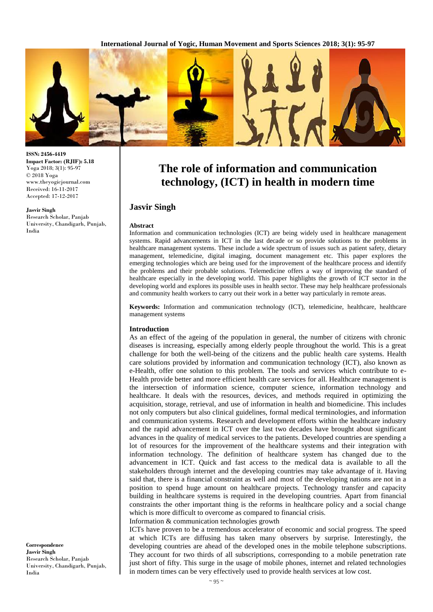**International Journal of Yogic, Human Movement and Sports Sciences 2018; 3(1): 95-97**



# **The role of information and communication technology, (ICT) in health in modern time**

# **Jasvir Singh**

#### **Abstract**

Information and communication technologies (ICT) are being widely used in healthcare management systems. Rapid advancements in ICT in the last decade or so provide solutions to the problems in healthcare management systems. These include a wide spectrum of issues such as patient safety, dietary management, telemedicine, digital imaging, document management etc. This paper explores the emerging technologies which are being used for the improvement of the healthcare process and identify the problems and their probable solutions. Telemedicine offers a way of improving the standard of healthcare especially in the developing world. This paper highlights the growth of ICT sector in the developing world and explores its possible uses in health sector. These may help healthcare professionals and community health workers to carry out their work in a better way particularly in remote areas.

**Keywords:** Information and communication technology (ICT), telemedicine, healthcare, healthcare management systems

#### **Introduction**

As an effect of the ageing of the population in general, the number of citizens with chronic diseases is increasing, especially among elderly people throughout the world. This is a great challenge for both the well-being of the citizens and the public health care systems. Health care solutions provided by information and communication technology (ICT), also known as e-Health, offer one solution to this problem. The tools and services which contribute to e-Health provide better and more efficient health care services for all. Healthcare management is the intersection of information science, computer science, information technology and healthcare. It deals with the resources, devices, and methods required in optimizing the acquisition, storage, retrieval, and use of information in health and biomedicine. This includes not only computers but also clinical guidelines, formal medical terminologies, and information and communication systems. Research and development efforts within the healthcare industry and the rapid advancement in ICT over the last two decades have brought about significant advances in the quality of medical services to the patients. Developed countries are spending a lot of resources for the improvement of the healthcare systems and their integration with information technology. The definition of healthcare system has changed due to the advancement in ICT. Quick and fast access to the medical data is available to all the stakeholders through internet and the developing countries may take advantage of it. Having said that, there is a financial constraint as well and most of the developing nations are not in a position to spend huge amount on healthcare projects. Technology transfer and capacity building in healthcare systems is required in the developing countries. Apart from financial constraints the other important thing is the reforms in healthcare policy and a social change which is more difficult to overcome as compared to financial crisis.

Information & communication technologies growth

ICTs have proven to be a tremendous accelerator of economic and social progress. The speed at which ICTs are diffusing has taken many observers by surprise. Interestingly, the developing countries are ahead of the developed ones in the mobile telephone subscriptions. They account for two thirds of all subscriptions, corresponding to a mobile penetration rate just short of fifty. This surge in the usage of mobile phones, internet and related technologies in modern times can be very effectively used to provide health services at low cost.

**ISSN: 2456-4419 Impact Factor: (RJIF): 5.18** Yoga 2018; 3(1): 95-97 © 2018 Yoga www.theyogicjournal.com Received: 16-11-2017 Accepted: 17-12-2017

#### **Jasvir Singh**

Research Scholar, Panjab University, Chandigarh, Punjab, India

**Correspondence Jasvir Singh** Research Scholar, Panjab University, Chandigarh, Punjab, India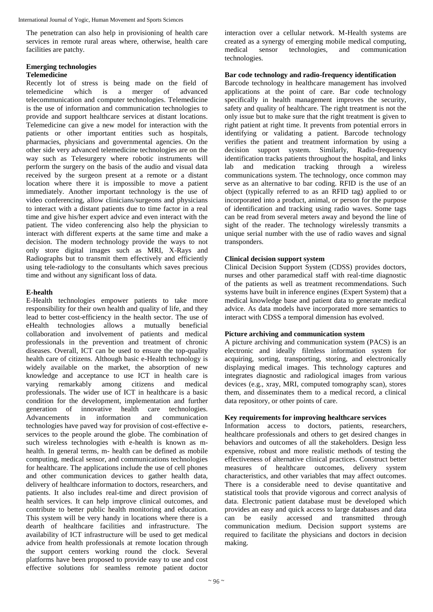International Journal of Yogic, Human Movement and Sports Sciences

The penetration can also help in provisioning of health care services in remote rural areas where, otherwise, health care facilities are patchy.

# **Emerging technologies**

#### **Telemedicine**

Recently lot of stress is being made on the field of telemedicine which is a merger of advanced telecommunication and computer technologies. Telemedicine is the use of information and communication technologies to provide and support healthcare services at distant locations. Telemedicine can give a new model for interaction with the patients or other important entities such as hospitals, pharmacies, physicians and governmental agencies. On the other side very advanced telemedicine technologies are on the way such as Telesurgery where robotic instruments will perform the surgery on the basis of the audio and visual data received by the surgeon present at a remote or a distant location where there it is impossible to move a patient immediately. Another important technology is the use of video conferencing, allow clinicians/surgeons and physicians to interact with a distant patients due to time factor in a real time and give his/her expert advice and even interact with the patient. The video conferencing also help the physician to interact with different experts at the same time and make a decision. The modern technology provide the ways to not only store digital images such as MRI, X-Rays and Radiographs but to transmit them effectively and efficiently using tele-radiology to the consultants which saves precious time and without any significant loss of data.

# **E-health**

E-Health technologies empower patients to take more responsibility for their own health and quality of life, and they lead to better cost-efficiency in the health sector. The use of eHealth technologies allows a mutually beneficial collaboration and involvement of patients and medical professionals in the prevention and treatment of chronic diseases. Overall, ICT can be used to ensure the top-quality health care of citizens. Although basic e-Health technology is widely available on the market, the absorption of new knowledge and acceptance to use ICT in health care is varying remarkably among citizens and medical professionals. The wider use of ICT in healthcare is a basic condition for the development, implementation and further generation of innovative health care technologies. Advancements in information and communication technologies have paved way for provision of cost-effective eservices to the people around the globe. The combination of such wireless technologies with e-health is known as mhealth. In general terms, m- health can be defined as mobile computing, medical sensor, and communications technologies for healthcare. The applications include the use of cell phones and other communication devices to gather health data, delivery of healthcare information to doctors, researchers, and patients. It also includes real-time and direct provision of health services. It can help improve clinical outcomes, and contribute to better public health monitoring and education. This system will be very handy in locations where there is a dearth of healthcare facilities and infrastructure. The availability of ICT infrastructure will be used to get medical advice from health professionals at remote location through the support centers working round the clock. Several platforms have been proposed to provide easy to use and cost effective solutions for seamless remote patient doctor

interaction over a cellular network. M-Health systems are created as a synergy of emerging mobile medical computing, medical sensor technologies, and communication technologies.

#### **Bar code technology and radio-frequency identification**

Barcode technology in healthcare management has involved applications at the point of care. Bar code technology specifically in health management improves the security, safety and quality of healthcare. The right treatment is not the only issue but to make sure that the right treatment is given to right patient at right time. It prevents from potential errors in identifying or validating a patient. Barcode technology verifies the patient and treatment information by using a decision support system. Similarly, Radio-frequency identification tracks patients throughout the hospital, and links lab and medication tracking through a wireless communications system. The technology, once common may serve as an alternative to bar coding. RFID is the use of an object (typically referred to as an RFID tag) applied to or incorporated into a product, animal, or person for the purpose of identification and tracking using radio waves. Some tags can be read from several meters away and beyond the line of sight of the reader. The technology wirelessly transmits a unique serial number with the use of radio waves and signal transponders.

## **Clinical decision support system**

Clinical Decision Support System (CDSS) provides doctors, nurses and other paramedical staff with real-time diagnostic of the patients as well as treatment recommendations. Such systems have built in inference engines (Expert System) that a medical knowledge base and patient data to generate medical advice. As data models have incorporated more semantics to interact with CDSS a temporal dimension has evolved.

## **Picture archiving and communication system**

A picture archiving and communication system (PACS) is an electronic and ideally filmless information system for acquiring, sorting, transporting, storing, and electronically displaying medical images. This technology captures and integrates diagnostic and radiological images from various devices (e.g., xray, MRI, computed tomography scan), stores them, and disseminates them to a medical record, a clinical data repository, or other points of care.

## **Key requirements for improving healthcare services**

Information access to doctors, patients, researchers, healthcare professionals and others to get desired changes in behaviors and outcomes of all the stakeholders. Design less expensive, robust and more realistic methods of testing the effectiveness of alternative clinical practices. Construct better measures of healthcare outcomes, delivery system characteristics, and other variables that may affect outcomes. There is a considerable need to devise quantitative and statistical tools that provide vigorous and correct analysis of data. Electronic patient database must be developed which provides an easy and quick access to large databases and data can be easily accessed and transmitted through communication medium. Decision support systems are required to facilitate the physicians and doctors in decision making.